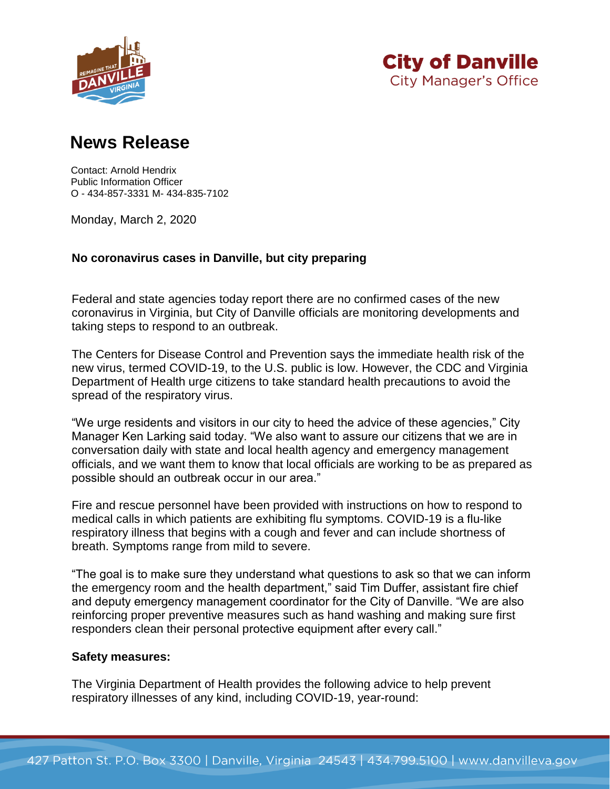



## **News Release**

Contact: Arnold Hendrix Public Information Officer O - 434-857-3331 M- 434-835-7102

Monday, March 2, 2020

## **No coronavirus cases in Danville, but city preparing**

Federal and state agencies today report there are no confirmed cases of the new coronavirus in Virginia, but City of Danville officials are monitoring developments and taking steps to respond to an outbreak.

The Centers for Disease Control and Prevention says the immediate health risk of the new virus, termed COVID-19, to the U.S. public is low. However, the CDC and Virginia Department of Health urge citizens to take standard health precautions to avoid the spread of the respiratory virus.

"We urge residents and visitors in our city to heed the advice of these agencies," City Manager Ken Larking said today. "We also want to assure our citizens that we are in conversation daily with state and local health agency and emergency management officials, and we want them to know that local officials are working to be as prepared as possible should an outbreak occur in our area."

Fire and rescue personnel have been provided with instructions on how to respond to medical calls in which patients are exhibiting flu symptoms. COVID-19 is a flu-like respiratory illness that begins with a cough and fever and can include shortness of breath. Symptoms range from mild to severe.

"The goal is to make sure they understand what questions to ask so that we can inform the emergency room and the health department," said Tim Duffer, assistant fire chief and deputy emergency management coordinator for the City of Danville. "We are also reinforcing proper preventive measures such as hand washing and making sure first responders clean their personal protective equipment after every call."

## **Safety measures:**

The Virginia Department of Health provides the following advice to help prevent respiratory illnesses of any kind, including COVID-19, year-round: